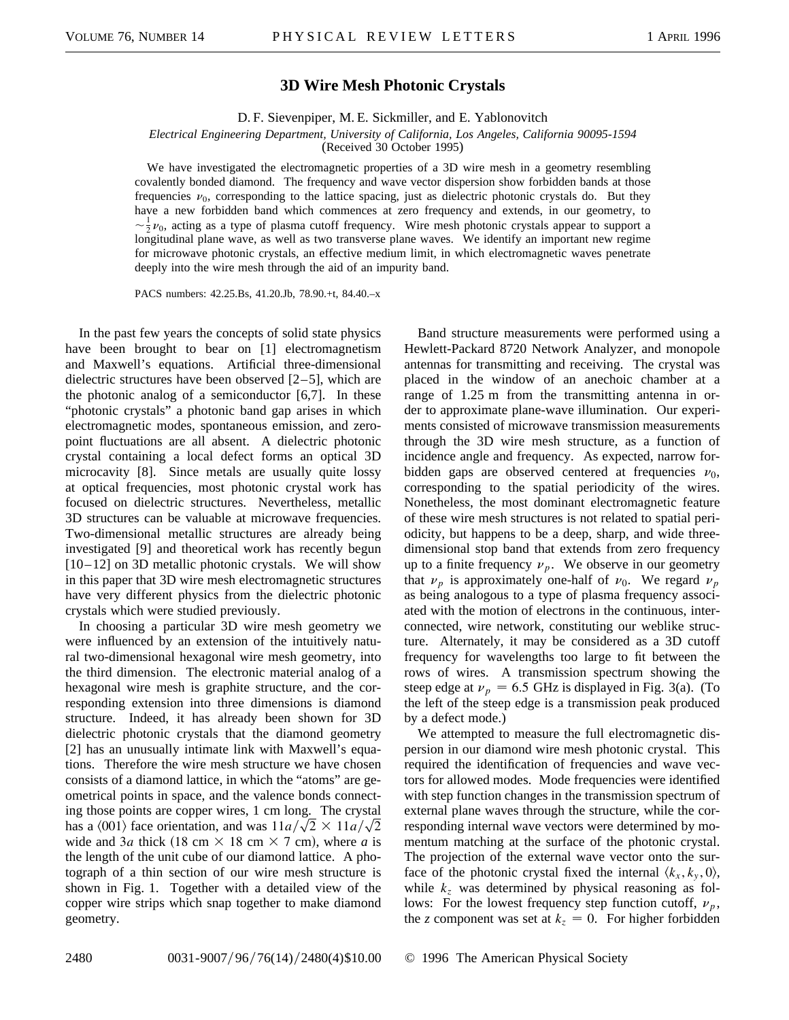## **3D Wire Mesh Photonic Crystals**

D. F. Sievenpiper, M. E. Sickmiller, and E. Yablonovitch

*Electrical Engineering Department, University of California, Los Angeles, California 90095-1594*

(Received 30 October 1995)

We have investigated the electromagnetic properties of a 3D wire mesh in a geometry resembling covalently bonded diamond. The frequency and wave vector dispersion show forbidden bands at those frequencies  $\nu_0$ , corresponding to the lattice spacing, just as dielectric photonic crystals do. But they have a new forbidden band which commences at zero frequency and extends, in our geometry, to  $\sim \frac{1}{2}\nu_0$ , acting as a type of plasma cutoff frequency. Wire mesh photonic crystals appear to support a longitudinal plane wave, as well as two transverse plane waves. We identify an important new regime for microwave photonic crystals, an effective medium limit, in which electromagnetic waves penetrate deeply into the wire mesh through the aid of an impurity band.

PACS numbers: 42.25.Bs, 41.20.Jb, 78.90.+t, 84.40.–x

In the past few years the concepts of solid state physics have been brought to bear on [1] electromagnetism and Maxwell's equations. Artificial three-dimensional dielectric structures have been observed [2–5], which are the photonic analog of a semiconductor [6,7]. In these "photonic crystals" a photonic band gap arises in which electromagnetic modes, spontaneous emission, and zeropoint fluctuations are all absent. A dielectric photonic crystal containing a local defect forms an optical 3D microcavity [8]. Since metals are usually quite lossy at optical frequencies, most photonic crystal work has focused on dielectric structures. Nevertheless, metallic 3D structures can be valuable at microwave frequencies. Two-dimensional metallic structures are already being investigated [9] and theoretical work has recently begun  $[10-12]$  on 3D metallic photonic crystals. We will show in this paper that 3D wire mesh electromagnetic structures have very different physics from the dielectric photonic crystals which were studied previously.

In choosing a particular 3D wire mesh geometry we were influenced by an extension of the intuitively natural two-dimensional hexagonal wire mesh geometry, into the third dimension. The electronic material analog of a hexagonal wire mesh is graphite structure, and the corresponding extension into three dimensions is diamond structure. Indeed, it has already been shown for 3D dielectric photonic crystals that the diamond geometry [2] has an unusually intimate link with Maxwell's equations. Therefore the wire mesh structure we have chosen consists of a diamond lattice, in which the "atoms" are geometrical points in space, and the valence bonds connecting those points are copper wires, 1 cm long. The crystal has a  $\langle 001 \rangle$  face orientation, and was  $11a/\sqrt{2} \times 11a/\sqrt{2}$ wide and 3*a* thick (18 cm  $\times$  18 cm  $\times$  7 cm), where *a* is the length of the unit cube of our diamond lattice. A photograph of a thin section of our wire mesh structure is shown in Fig. 1. Together with a detailed view of the copper wire strips which snap together to make diamond geometry.

Band structure measurements were performed using a Hewlett-Packard 8720 Network Analyzer, and monopole antennas for transmitting and receiving. The crystal was placed in the window of an anechoic chamber at a range of 1.25 m from the transmitting antenna in order to approximate plane-wave illumination. Our experiments consisted of microwave transmission measurements through the 3D wire mesh structure, as a function of incidence angle and frequency. As expected, narrow forbidden gaps are observed centered at frequencies  $\nu_0$ , corresponding to the spatial periodicity of the wires. Nonetheless, the most dominant electromagnetic feature of these wire mesh structures is not related to spatial periodicity, but happens to be a deep, sharp, and wide threedimensional stop band that extends from zero frequency up to a finite frequency  $\nu_p$ . We observe in our geometry that  $\nu_p$  is approximately one-half of  $\nu_0$ . We regard  $\nu_p$ as being analogous to a type of plasma frequency associated with the motion of electrons in the continuous, interconnected, wire network, constituting our weblike structure. Alternately, it may be considered as a 3D cutoff frequency for wavelengths too large to fit between the rows of wires. A transmission spectrum showing the steep edge at  $v_p = 6.5$  GHz is displayed in Fig. 3(a). (To the left of the steep edge is a transmission peak produced by a defect mode.)

We attempted to measure the full electromagnetic dispersion in our diamond wire mesh photonic crystal. This required the identification of frequencies and wave vectors for allowed modes. Mode frequencies were identified with step function changes in the transmission spectrum of external plane waves through the structure, while the corresponding internal wave vectors were determined by momentum matching at the surface of the photonic crystal. The projection of the external wave vector onto the surface of the photonic crystal fixed the internal  $\langle k_x, k_y, 0 \rangle$ , while  $k_z$  was determined by physical reasoning as follows: For the lowest frequency step function cutoff,  $\nu_p$ , the *z* component was set at  $k_z = 0$ . For higher forbidden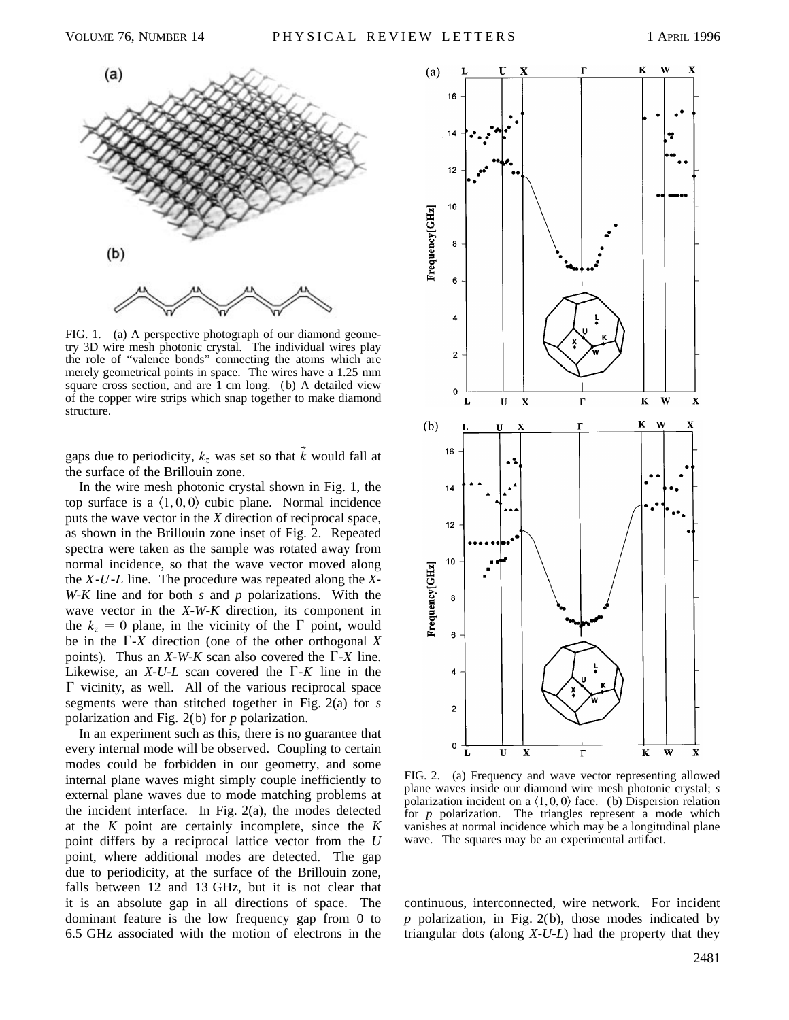

FIG. 1. (a) A perspective photograph of our diamond geometry 3D wire mesh photonic crystal. The individual wires play the role of "valence bonds" connecting the atoms which are merely geometrical points in space. The wires have a 1.25 mm square cross section, and are 1 cm long. (b) A detailed view of the copper wire strips which snap together to make diamond structure.

gaps due to periodicity,  $k_z$  was set so that  $\vec{k}$  would fall at the surface of the Brillouin zone.

In the wire mesh photonic crystal shown in Fig. 1, the top surface is a  $\langle 1, 0, 0 \rangle$  cubic plane. Normal incidence puts the wave vector in the *X* direction of reciprocal space, as shown in the Brillouin zone inset of Fig. 2. Repeated spectra were taken as the sample was rotated away from normal incidence, so that the wave vector moved along the *X*-*U*-*L* line. The procedure was repeated along the *X*-*W*-*K* line and for both *s* and *p* polarizations. With the wave vector in the *X*-*W*-*K* direction, its component in the  $k_z = 0$  plane, in the vicinity of the  $\Gamma$  point, would be in the  $\Gamma$ -*X* direction (one of the other orthogonal *X* points). Thus an *X*-*W*-*K* scan also covered the  $\Gamma$ -*X* line. Likewise, an  $X$ - $U$ - $L$  scan covered the  $\Gamma$ - $K$  line in the  $\Gamma$  vicinity, as well. All of the various reciprocal space segments were than stitched together in Fig. 2(a) for *s* polarization and Fig. 2(b) for *p* polarization.

In an experiment such as this, there is no guarantee that every internal mode will be observed. Coupling to certain modes could be forbidden in our geometry, and some internal plane waves might simply couple inefficiently to external plane waves due to mode matching problems at the incident interface. In Fig. 2(a), the modes detected at the *K* point are certainly incomplete, since the *K* point differs by a reciprocal lattice vector from the *U* point, where additional modes are detected. The gap due to periodicity, at the surface of the Brillouin zone, falls between 12 and 13 GHz, but it is not clear that it is an absolute gap in all directions of space. The dominant feature is the low frequency gap from 0 to 6.5 GHz associated with the motion of electrons in the



FIG. 2. (a) Frequency and wave vector representing allowed plane waves inside our diamond wire mesh photonic crystal; *s* polarization incident on a  $\langle 1, 0, 0 \rangle$  face. (b) Dispersion relation for *p* polarization. The triangles represent a mode which vanishes at normal incidence which may be a longitudinal plane wave. The squares may be an experimental artifact.

continuous, interconnected, wire network. For incident *p* polarization, in Fig. 2(b), those modes indicated by triangular dots (along *X*-*U*-*L*) had the property that they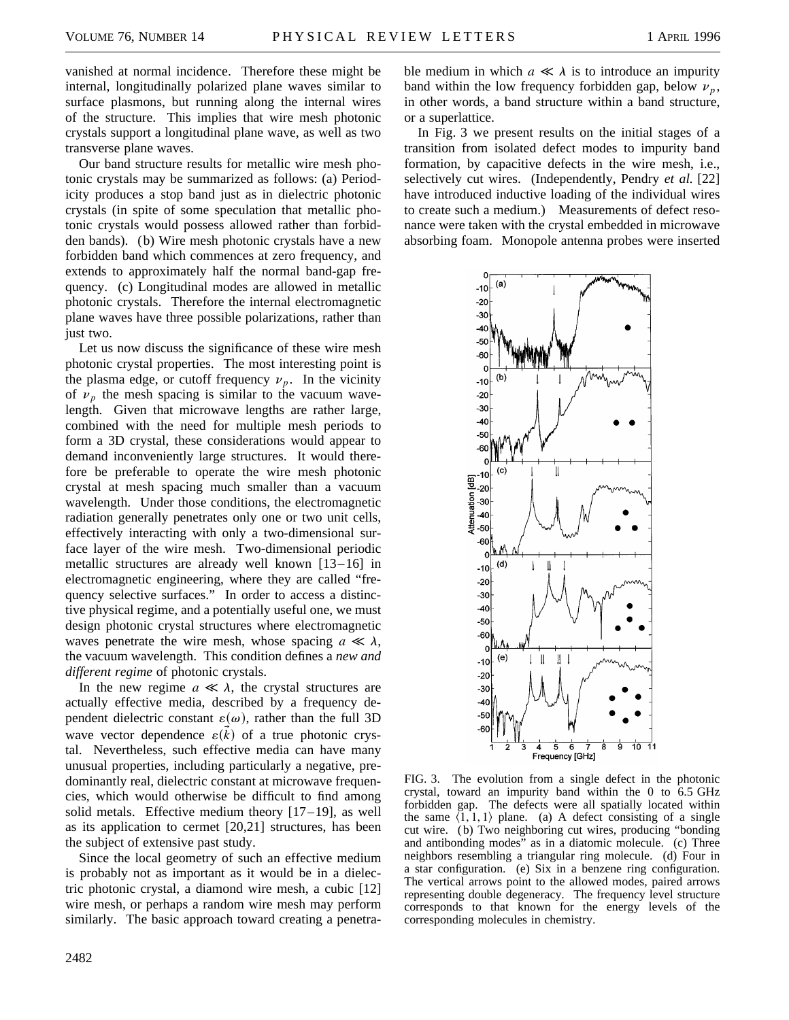vanished at normal incidence. Therefore these might be internal, longitudinally polarized plane waves similar to surface plasmons, but running along the internal wires of the structure. This implies that wire mesh photonic crystals support a longitudinal plane wave, as well as two transverse plane waves.

Our band structure results for metallic wire mesh photonic crystals may be summarized as follows: (a) Periodicity produces a stop band just as in dielectric photonic crystals (in spite of some speculation that metallic photonic crystals would possess allowed rather than forbidden bands). (b) Wire mesh photonic crystals have a new forbidden band which commences at zero frequency, and extends to approximately half the normal band-gap frequency. (c) Longitudinal modes are allowed in metallic photonic crystals. Therefore the internal electromagnetic plane waves have three possible polarizations, rather than just two.

Let us now discuss the significance of these wire mesh photonic crystal properties. The most interesting point is the plasma edge, or cutoff frequency  $\nu_p$ . In the vicinity of  $\nu_p$  the mesh spacing is similar to the vacuum wavelength. Given that microwave lengths are rather large, combined with the need for multiple mesh periods to form a 3D crystal, these considerations would appear to demand inconveniently large structures. It would therefore be preferable to operate the wire mesh photonic crystal at mesh spacing much smaller than a vacuum wavelength. Under those conditions, the electromagnetic radiation generally penetrates only one or two unit cells, effectively interacting with only a two-dimensional surface layer of the wire mesh. Two-dimensional periodic metallic structures are already well known [13–16] in electromagnetic engineering, where they are called "frequency selective surfaces." In order to access a distinctive physical regime, and a potentially useful one, we must design photonic crystal structures where electromagnetic waves penetrate the wire mesh, whose spacing  $a \ll \lambda$ , the vacuum wavelength. This condition defines a *new and different regime* of photonic crystals.

In the new regime  $a \ll \lambda$ , the crystal structures are actually effective media, described by a frequency dependent dielectric constant  $\varepsilon(\omega)$ , rather than the full 3D wave vector dependence  $\varepsilon(\vec{k})$  of a true photonic crystal. Nevertheless, such effective media can have many unusual properties, including particularly a negative, predominantly real, dielectric constant at microwave frequencies, which would otherwise be difficult to find among solid metals. Effective medium theory  $[17-19]$ , as well as its application to cermet [20,21] structures, has been the subject of extensive past study.

Since the local geometry of such an effective medium is probably not as important as it would be in a dielectric photonic crystal, a diamond wire mesh, a cubic [12] wire mesh, or perhaps a random wire mesh may perform similarly. The basic approach toward creating a penetrable medium in which  $a \ll \lambda$  is to introduce an impurity band within the low frequency forbidden gap, below  $\nu_n$ , in other words, a band structure within a band structure, or a superlattice.

In Fig. 3 we present results on the initial stages of a transition from isolated defect modes to impurity band formation, by capacitive defects in the wire mesh, i.e., selectively cut wires. (Independently, Pendry *et al.* [22] have introduced inductive loading of the individual wires to create such a medium.) Measurements of defect resonance were taken with the crystal embedded in microwave absorbing foam. Monopole antenna probes were inserted



FIG. 3. The evolution from a single defect in the photonic crystal, toward an impurity band within the 0 to 6.5 GHz forbidden gap. The defects were all spatially located within the same  $\langle 1, 1, 1 \rangle$  plane. (a) A defect consisting of a single cut wire. ( b) Two neighboring cut wires, producing "bonding and antibonding modes" as in a diatomic molecule. (c) Three neighbors resembling a triangular ring molecule. (d) Four in a star configuration. (e) Six in a benzene ring configuration. The vertical arrows point to the allowed modes, paired arrows representing double degeneracy. The frequency level structure corresponds to that known for the energy levels of the corresponding molecules in chemistry.